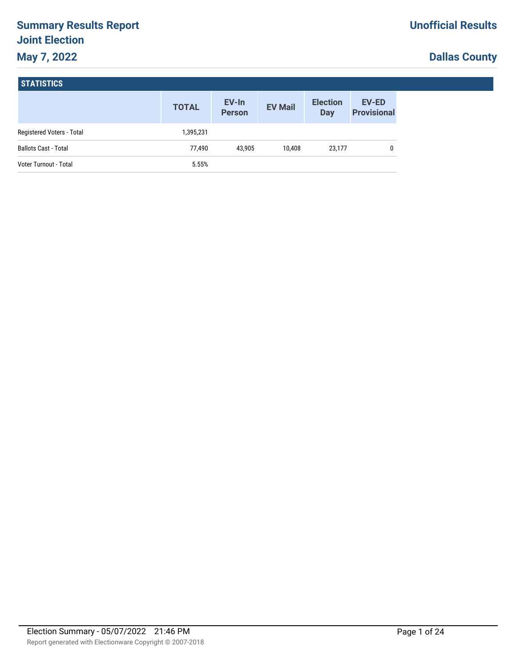# **Summary Results Report Joint Election May 7, 2022**

# **Dallas County**

| <b>STATISTICS</b> |
|-------------------|
|-------------------|

|                             | <b>TOTAL</b> | EV-In<br><b>Person</b> | <b>EV Mail</b> | <b>Election</b><br>Day | <b>EV-ED</b><br><b>Provisional</b> |
|-----------------------------|--------------|------------------------|----------------|------------------------|------------------------------------|
| Registered Voters - Total   | 1,395,231    |                        |                |                        |                                    |
| <b>Ballots Cast - Total</b> | 77,490       | 43.905                 | 10.408         | 23,177                 | 0                                  |
| Voter Turnout - Total       | 5.55%        |                        |                |                        |                                    |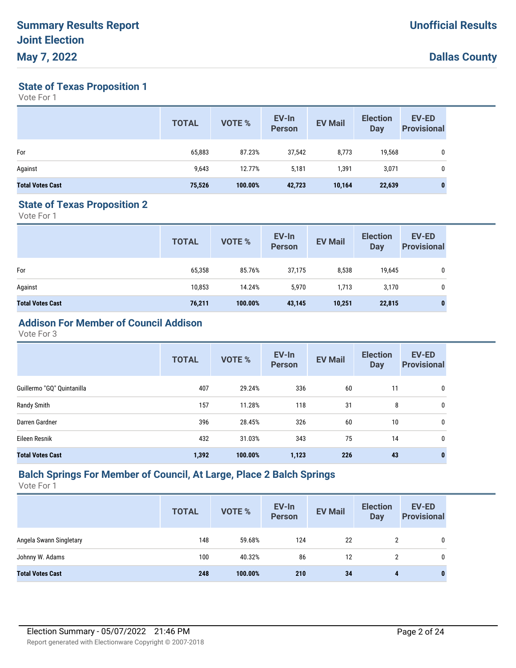**State of Texas Proposition 1**

Vote For 1

|                         | <b>TOTAL</b> | VOTE %  | EV-In<br><b>Person</b> | <b>EV Mail</b> | <b>Election</b><br>Day | <b>EV-ED</b><br><b>Provisional</b> |
|-------------------------|--------------|---------|------------------------|----------------|------------------------|------------------------------------|
| For                     | 65,883       | 87.23%  | 37,542                 | 8,773          | 19,568                 | 0                                  |
| Against                 | 9,643        | 12.77%  | 5,181                  | 1,391          | 3,071                  |                                    |
| <b>Total Votes Cast</b> | 75,526       | 100.00% | 42,723                 | 10,164         | 22,639                 | $\mathbf{0}$                       |

#### **State of Texas Proposition 2**

Vote For 1

| <b>TOTAL</b> | <b>VOTE %</b> | EV-In<br><b>Person</b> | <b>EV Mail</b> | <b>Election</b><br><b>Day</b> | <b>EV-ED</b><br><b>Provisional</b> |
|--------------|---------------|------------------------|----------------|-------------------------------|------------------------------------|
| 65,358       | 85.76%        | 37,175                 | 8,538          | 19,645                        | 0                                  |
| 10,853       | 14.24%        | 5,970                  | 1,713          | 3,170                         | 0                                  |
| 76,211       | 100.00%       | 43,145                 | 10,251         | 22,815                        | 0                                  |
|              |               |                        |                |                               |                                    |

# **Addison For Member of Council Addison**

Vote For 3

|                            | <b>TOTAL</b> | VOTE %  | EV-In<br><b>Person</b> | <b>EV Mail</b> | <b>Election</b><br><b>Day</b> | <b>EV-ED</b><br><b>Provisional</b> |
|----------------------------|--------------|---------|------------------------|----------------|-------------------------------|------------------------------------|
| Guillermo "GQ" Quintanilla | 407          | 29.24%  | 336                    | 60             | 11                            | 0                                  |
| Randy Smith                | 157          | 11.28%  | 118                    | 31             | 8                             | 0                                  |
| Darren Gardner             | 396          | 28.45%  | 326                    | 60             | 10                            | 0                                  |
| Eileen Resnik              | 432          | 31.03%  | 343                    | 75             | 14                            | 0                                  |
| <b>Total Votes Cast</b>    | 1,392        | 100.00% | 1,123                  | 226            | 43                            | 0                                  |

#### **Balch Springs For Member of Council, At Large, Place 2 Balch Springs**

|                         | <b>TOTAL</b> | <b>VOTE %</b> | EV-In<br><b>Person</b> | <b>EV Mail</b> | <b>Election</b><br><b>Day</b> | <b>EV-ED</b><br><b>Provisional</b> |
|-------------------------|--------------|---------------|------------------------|----------------|-------------------------------|------------------------------------|
| Angela Swann Singletary | 148          | 59.68%        | 124                    | 22             | 2                             |                                    |
| Johnny W. Adams         | 100          | 40.32%        | 86                     | 12             | 2                             |                                    |
| <b>Total Votes Cast</b> | 248          | 100.00%       | 210                    | 34             | 4                             | 0                                  |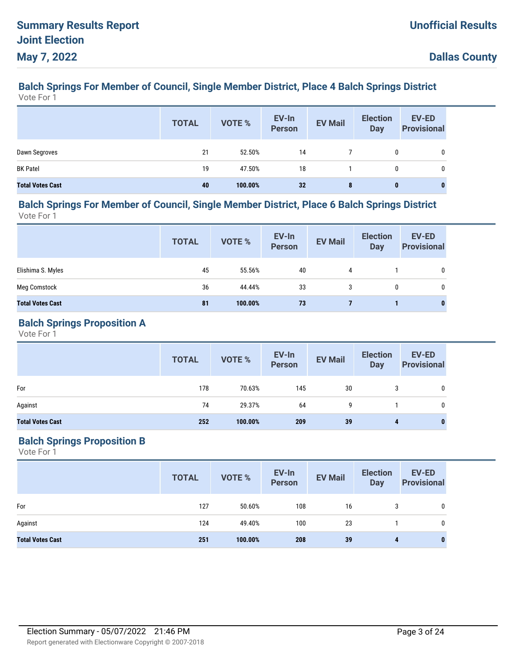#### **Balch Springs For Member of Council, Single Member District, Place 4 Balch Springs District** Vote For 1

|                         | <b>TOTAL</b> | VOTE %  | EV-In<br>Person | <b>EV Mail</b> | <b>Election</b><br><b>Day</b> | EV-ED<br><b>Provisional</b> |
|-------------------------|--------------|---------|-----------------|----------------|-------------------------------|-----------------------------|
| Dawn Segroves           | 21           | 52.50%  | 14              |                | 0                             | 0                           |
| <b>BK Patel</b>         | 19           | 47.50%  | 18              |                | 0                             | 0                           |
| <b>Total Votes Cast</b> | 40           | 100.00% | 32              | 8              | $\bf{0}$                      | $\bf{0}$                    |

#### **Balch Springs For Member of Council, Single Member District, Place 6 Balch Springs District** Vote For 1

|                         | <b>TOTAL</b> | <b>VOTE %</b> | EV-In<br><b>Person</b> | <b>EV Mail</b> | <b>Election</b><br>Day | <b>EV-ED</b><br><b>Provisional</b> |
|-------------------------|--------------|---------------|------------------------|----------------|------------------------|------------------------------------|
| Elishima S. Myles       | 45           | 55.56%        | 40                     | 4              |                        | 0                                  |
| <b>Meg Comstock</b>     | 36           | 44.44%        | 33                     | 3              | 0                      | 0                                  |
| <b>Total Votes Cast</b> | 81           | 100.00%       | 73                     |                |                        | $\bf{0}$                           |

### **Balch Springs Proposition A**

Vote For 1

|                         | <b>TOTAL</b> | VOTE %  | EV-In<br>Person | <b>EV Mail</b> | <b>Election</b><br>Day | <b>EV-ED</b><br><b>Provisional</b> |
|-------------------------|--------------|---------|-----------------|----------------|------------------------|------------------------------------|
| For                     | 178          | 70.63%  | 145             | 30             | 3                      | 0                                  |
| Against                 | 74           | 29.37%  | 64              | 9              |                        | 0                                  |
| <b>Total Votes Cast</b> | 252          | 100.00% | 209             | 39             | 4                      | $\bf{0}$                           |

## **Balch Springs Proposition B**

|                         | <b>TOTAL</b> | VOTE %  | EV-In<br>Person | <b>EV Mail</b> | <b>Election</b><br><b>Day</b> | <b>EV-ED</b><br><b>Provisional</b> |
|-------------------------|--------------|---------|-----------------|----------------|-------------------------------|------------------------------------|
| For                     | 127          | 50.60%  | 108             | 16             | 3                             | $\mathbf 0$                        |
| Against                 | 124          | 49.40%  | 100             | 23             |                               | 0                                  |
| <b>Total Votes Cast</b> | 251          | 100.00% | 208             | 39             | 4                             | 0                                  |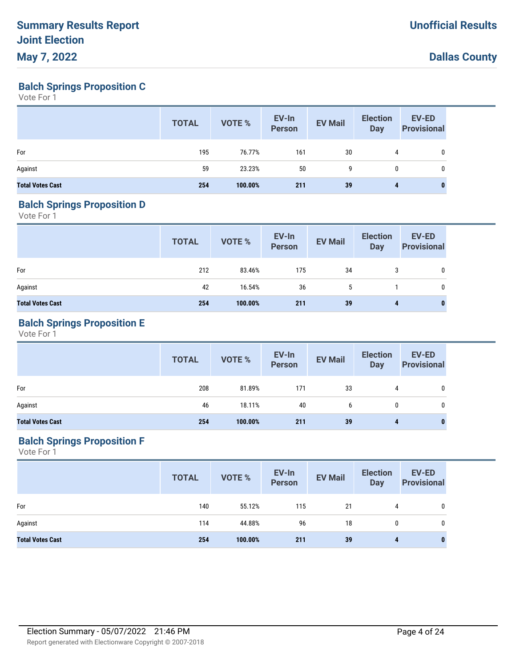**Balch Springs Proposition C**

Vote For 1

|                         | <b>TOTAL</b> | VOTE %  | EV-In<br>Person | <b>EV Mail</b> | <b>Election</b><br><b>Day</b> | <b>EV-ED</b><br><b>Provisional</b> |
|-------------------------|--------------|---------|-----------------|----------------|-------------------------------|------------------------------------|
| For                     | 195          | 76.77%  | 161             | 30             | 4                             |                                    |
| Against                 | 59           | 23.23%  | 50              | 9              | 0                             |                                    |
| <b>Total Votes Cast</b> | 254          | 100.00% | 211             | 39             | 4                             | 0                                  |

## **Balch Springs Proposition D**

Vote For 1

|                         | <b>TOTAL</b> | VOTE %  | EV-In<br>Person | <b>EV Mail</b> | <b>Election</b><br>Day | <b>EV-ED</b><br><b>Provisional</b> |
|-------------------------|--------------|---------|-----------------|----------------|------------------------|------------------------------------|
| For                     | 212          | 83.46%  | 175             | 34             | 3                      | 0                                  |
| Against                 | 42           | 16.54%  | 36              | 5              |                        | 0                                  |
| <b>Total Votes Cast</b> | 254          | 100.00% | 211             | 39             | 4                      | $\bf{0}$                           |

## **Balch Springs Proposition E**

Vote For 1

|                         | <b>TOTAL</b> | VOTE %  | EV-In<br>Person | <b>EV Mail</b> | <b>Election</b><br>Day | <b>EV-ED</b><br><b>Provisional</b> |
|-------------------------|--------------|---------|-----------------|----------------|------------------------|------------------------------------|
| For                     | 208          | 81.89%  | 171             | 33             | 4                      | 0                                  |
| Against                 | 46           | 18.11%  | 40              | b              | 0                      | 0                                  |
| <b>Total Votes Cast</b> | 254          | 100.00% | 211             | 39             | 4                      | 0                                  |

## **Balch Springs Proposition F**

|                         | <b>TOTAL</b> | VOTE %  | EV-In<br>Person | <b>EV Mail</b> | <b>Election</b><br><b>Day</b> | <b>EV-ED</b><br><b>Provisional</b> |
|-------------------------|--------------|---------|-----------------|----------------|-------------------------------|------------------------------------|
| For                     | 140          | 55.12%  | 115             | 21             | 4                             | 0                                  |
| Against                 | 114          | 44.88%  | 96              | 18             | 0                             | 0                                  |
| <b>Total Votes Cast</b> | 254          | 100.00% | 211             | 39             | 4                             | $\bf{0}$                           |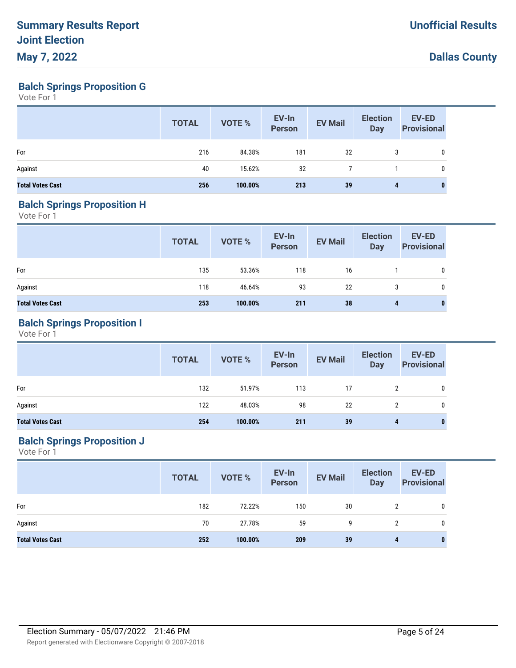**Balch Springs Proposition G**

Vote For 1

|                         | <b>TOTAL</b> | VOTE %  | EV-In<br><b>Person</b> | <b>EV Mail</b> | <b>Election</b><br><b>Day</b> | EV-ED<br><b>Provisional</b> |
|-------------------------|--------------|---------|------------------------|----------------|-------------------------------|-----------------------------|
| For                     | 216          | 84.38%  | 181                    | 32             | 3                             | 0                           |
| Against                 | 40           | 15.62%  | 32                     |                |                               | 0                           |
| <b>Total Votes Cast</b> | 256          | 100.00% | 213                    | 39             | 4                             | $\bf{0}$                    |

#### **Balch Springs Proposition H**

Vote For 1

|                         | <b>TOTAL</b> | VOTE %  | EV-In<br>Person | <b>EV Mail</b> | <b>Election</b><br>Day | <b>EV-ED</b><br><b>Provisional</b> |
|-------------------------|--------------|---------|-----------------|----------------|------------------------|------------------------------------|
| For                     | 135          | 53.36%  | 118             | 16             |                        | $\mathbf{0}$                       |
| Against                 | 118          | 46.64%  | 93              | 22             |                        | $\mathbf{0}$                       |
| <b>Total Votes Cast</b> | 253          | 100.00% | 211             | 38             | 4                      | $\bf{0}$                           |

## **Balch Springs Proposition I**

Vote For 1

|                         | <b>TOTAL</b> | VOTE %  | EV-In<br>Person | <b>EV Mail</b> | <b>Election</b><br>Day | <b>EV-ED</b><br><b>Provisional</b> |
|-------------------------|--------------|---------|-----------------|----------------|------------------------|------------------------------------|
| For                     | 132          | 51.97%  | 113             | 17             | $\mathbf{2}^{\prime}$  | 0                                  |
| Against                 | 122          | 48.03%  | 98              | 22             | 2                      | 0                                  |
| <b>Total Votes Cast</b> | 254          | 100.00% | 211             | 39             | 4                      | 0                                  |

## **Balch Springs Proposition J**

|                         | <b>TOTAL</b> | VOTE %  | EV-In<br>Person | <b>EV Mail</b> | <b>Election</b><br>Day | <b>EV-ED</b><br><b>Provisional</b> |
|-------------------------|--------------|---------|-----------------|----------------|------------------------|------------------------------------|
| For                     | 182          | 72.22%  | 150             | 30             | 2                      | $\mathbf 0$                        |
| Against                 | 70           | 27.78%  | 59              | 9              | 2                      | 0                                  |
| <b>Total Votes Cast</b> | 252          | 100.00% | 209             | 39             | 4                      | 0                                  |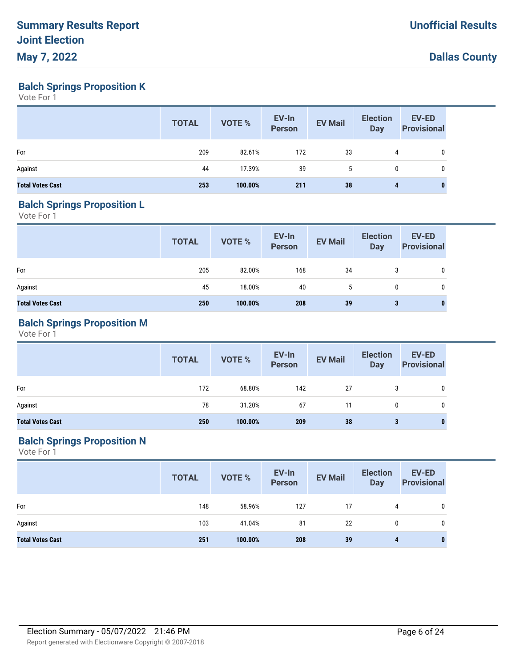**Balch Springs Proposition K**

Vote For 1

|                         | <b>TOTAL</b> | VOTE %  | EV-In<br>Person | <b>EV Mail</b> | <b>Election</b><br>Day | EV-ED<br><b>Provisional</b> |
|-------------------------|--------------|---------|-----------------|----------------|------------------------|-----------------------------|
| For                     | 209          | 82.61%  | 172             | 33             | 4                      | 0                           |
| Against                 | 44           | 17.39%  | 39              | 5              | $\mathbf 0$            | 0                           |
| <b>Total Votes Cast</b> | 253          | 100.00% | 211             | 38             | 4                      | 0                           |

#### **Balch Springs Proposition L**

Vote For 1

|                         | <b>TOTAL</b> | VOTE %  | EV-In<br>Person | <b>EV Mail</b> | <b>Election</b><br>Day | <b>EV-ED</b><br><b>Provisional</b> |
|-------------------------|--------------|---------|-----------------|----------------|------------------------|------------------------------------|
| For                     | 205          | 82.00%  | 168             | 34             | 3                      | 0                                  |
| Against                 | 45           | 18.00%  | 40              | 5              | 0                      | 0                                  |
| <b>Total Votes Cast</b> | 250          | 100.00% | 208             | 39             | 3                      | $\bf{0}$                           |

## **Balch Springs Proposition M**

Vote For 1

|                         | <b>TOTAL</b> | VOTE %  | EV-In<br>Person | <b>EV Mail</b> | <b>Election</b><br>Day | <b>EV-ED</b><br><b>Provisional</b> |
|-------------------------|--------------|---------|-----------------|----------------|------------------------|------------------------------------|
| For                     | 172          | 68.80%  | 142             | 27             |                        | 0                                  |
| Against                 | 78           | 31.20%  | 67              | 11             | 0                      | 0                                  |
| <b>Total Votes Cast</b> | 250          | 100.00% | 209             | 38             | 3                      | $\bf{0}$                           |

## **Balch Springs Proposition N**

|                         | <b>TOTAL</b> | VOTE %  | EV-In<br>Person | <b>EV Mail</b> | <b>Election</b><br><b>Day</b> | <b>EV-ED</b><br><b>Provisional</b> |
|-------------------------|--------------|---------|-----------------|----------------|-------------------------------|------------------------------------|
| For                     | 148          | 58.96%  | 127             | 17             | 4                             | 0                                  |
| Against                 | 103          | 41.04%  | 81              | 22             | 0                             | 0                                  |
| <b>Total Votes Cast</b> | 251          | 100.00% | 208             | 39             | 4                             | $\bf{0}$                           |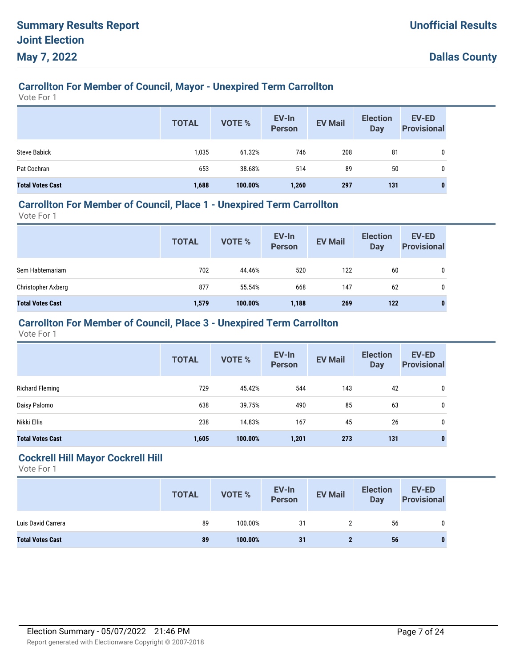# **Carrollton For Member of Council, Mayor - Unexpired Term Carrollton**

Vote For 1

|                         | <b>TOTAL</b> | <b>VOTE %</b> | EV-In<br><b>Person</b> | <b>EV Mail</b> | <b>Election</b><br>Day | EV-ED<br><b>Provisional</b> |
|-------------------------|--------------|---------------|------------------------|----------------|------------------------|-----------------------------|
| <b>Steve Babick</b>     | 1,035        | 61.32%        | 746                    | 208            | 81                     | 0                           |
| Pat Cochran             | 653          | 38.68%        | 514                    | 89             | 50                     | 0                           |
| <b>Total Votes Cast</b> | 1,688        | 100.00%       | 1,260                  | 297            | 131                    | 0                           |

## **Carrollton For Member of Council, Place 1 - Unexpired Term Carrollton**

Vote For 1

|                         | <b>TOTAL</b> | VOTE %  | EV-In<br>Person | <b>EV Mail</b> | <b>Election</b><br><b>Day</b> | <b>EV-ED</b><br><b>Provisional</b> |
|-------------------------|--------------|---------|-----------------|----------------|-------------------------------|------------------------------------|
| Sem Habtemariam         | 702          | 44.46%  | 520             | 122            | 60                            | 0                                  |
| Christopher Axberg      | 877          | 55.54%  | 668             | 147            | 62                            | 0                                  |
| <b>Total Votes Cast</b> | 1,579        | 100.00% | 1,188           | 269            | 122                           | 0                                  |

## **Carrollton For Member of Council, Place 3 - Unexpired Term Carrollton**

Vote For 1

|                         | <b>TOTAL</b> | <b>VOTE %</b> | EV-In<br><b>Person</b> | <b>EV Mail</b> | <b>Election</b><br><b>Day</b> | <b>EV-ED</b><br><b>Provisional</b> |
|-------------------------|--------------|---------------|------------------------|----------------|-------------------------------|------------------------------------|
| Richard Fleming         | 729          | 45.42%        | 544                    | 143            | 42                            | 0                                  |
| Daisy Palomo            | 638          | 39.75%        | 490                    | 85             | 63                            | 0                                  |
| Nikki Ellis             | 238          | 14.83%        | 167                    | 45             | 26                            | 0                                  |
| <b>Total Votes Cast</b> | 1,605        | 100.00%       | 1,201                  | 273            | 131                           |                                    |

#### **Cockrell Hill Mayor Cockrell Hill**

|                         | <b>TOTAL</b> | <b>VOTE %</b> | EV-In<br>Person | <b>EV Mail</b> | <b>Election</b><br><b>Day</b> | EV-ED<br><b>Provisional</b> |
|-------------------------|--------------|---------------|-----------------|----------------|-------------------------------|-----------------------------|
| Luis David Carrera      | 89           | 100.00%       | 31              |                | 56                            | 0                           |
| <b>Total Votes Cast</b> | 89           | 100.00%       | 31              |                | 56                            |                             |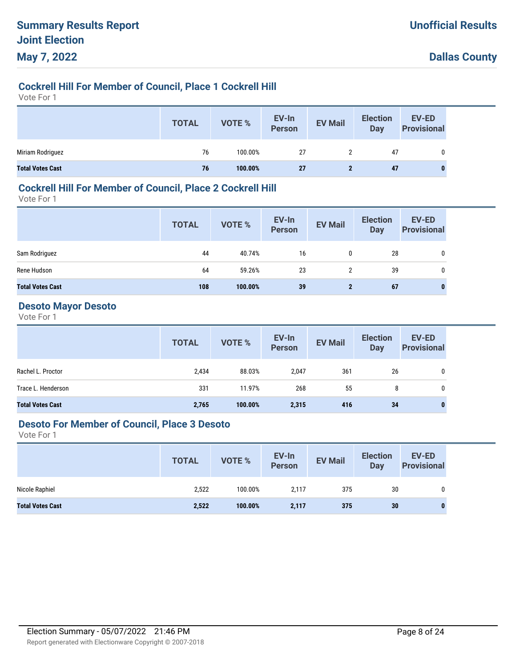## **Cockrell Hill For Member of Council, Place 1 Cockrell Hill**

Vote For 1

|                         | <b>TOTAL</b> | VOTE %  | EV-In<br>Person | <b>EV Mail</b> | <b>Election</b><br>Day | EV-ED<br><b>Provisional</b> |
|-------------------------|--------------|---------|-----------------|----------------|------------------------|-----------------------------|
| Miriam Rodriguez        | 76           | 100.00% | 27              | 2              | 47                     |                             |
| <b>Total Votes Cast</b> | 76           | 100.00% | 27              |                | 47                     | 0                           |

### **Cockrell Hill For Member of Council, Place 2 Cockrell Hill**

Vote For 1

|                         | <b>TOTAL</b> | VOTE %  | EV-In<br>Person | <b>EV Mail</b> | <b>Election</b><br><b>Day</b> | <b>EV-ED</b><br><b>Provisional</b> |
|-------------------------|--------------|---------|-----------------|----------------|-------------------------------|------------------------------------|
| Sam Rodriguez           | 44           | 40.74%  | 16              | 0              | 28                            | 0                                  |
| Rene Hudson             | 64           | 59.26%  | 23              | $\overline{2}$ | 39                            | 0                                  |
| <b>Total Votes Cast</b> | 108          | 100.00% | 39              | $\mathbf{2}$   | 67                            | 0                                  |

#### **Desoto Mayor Desoto**

Vote For 1

|                         | <b>TOTAL</b> | VOTE %  | EV-In<br>Person | <b>EV Mail</b> | <b>Election</b><br>Day | <b>EV-ED</b><br><b>Provisional</b> |
|-------------------------|--------------|---------|-----------------|----------------|------------------------|------------------------------------|
| Rachel L. Proctor       | 2,434        | 88.03%  | 2,047           | 361            | 26                     | 0                                  |
| Trace L. Henderson      | 331          | 11.97%  | 268             | 55             | 8                      | 0                                  |
| <b>Total Votes Cast</b> | 2,765        | 100.00% | 2,315           | 416            | 34                     | 0                                  |

#### **Desoto For Member of Council, Place 3 Desoto**

|                         | <b>TOTAL</b> | VOTE %  | EV-In<br><b>Person</b> | <b>EV Mail</b> | <b>Election</b><br>Day | <b>EV-ED</b><br><b>Provisional</b> |
|-------------------------|--------------|---------|------------------------|----------------|------------------------|------------------------------------|
| Nicole Raphiel          | 2,522        | 100.00% | 2,117                  | 375            | 30                     | 0                                  |
| <b>Total Votes Cast</b> | 2,522        | 100.00% | 2,117                  | 375            | 30                     | 0                                  |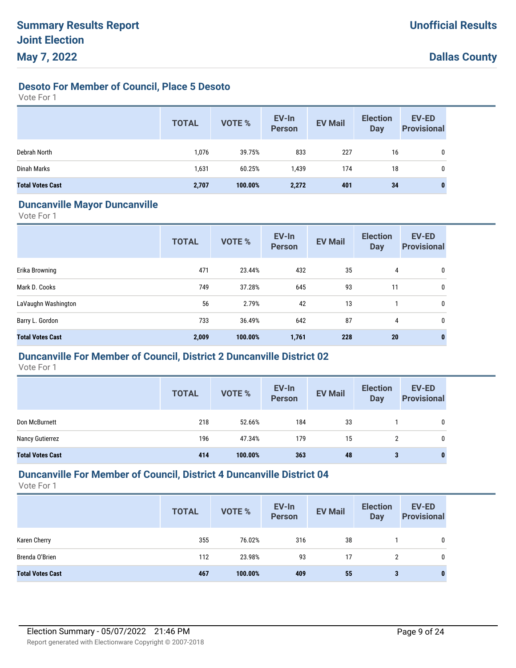## **Desoto For Member of Council, Place 5 Desoto**

Vote For 1

|                         | <b>TOTAL</b> | <b>VOTE %</b> | EV-In<br><b>Person</b> | <b>EV Mail</b> | <b>Election</b><br>Day | <b>EV-ED</b><br><b>Provisional</b> |
|-------------------------|--------------|---------------|------------------------|----------------|------------------------|------------------------------------|
| Debrah North            | 1,076        | 39.75%        | 833                    | 227            | 16                     | 0                                  |
| Dinah Marks             | 1,631        | 60.25%        | 1,439                  | 174            | 18                     | 0                                  |
| <b>Total Votes Cast</b> | 2,707        | 100.00%       | 2,272                  | 401            | 34                     | <sup>0</sup>                       |

#### **Duncanville Mayor Duncanville**

Vote For 1

|                         | <b>TOTAL</b> | <b>VOTE %</b> | EV-In<br><b>Person</b> | <b>EV Mail</b> | <b>Election</b><br><b>Day</b> | <b>EV-ED</b><br><b>Provisional</b> |
|-------------------------|--------------|---------------|------------------------|----------------|-------------------------------|------------------------------------|
| Erika Browning          | 471          | 23.44%        | 432                    | 35             | 4                             | 0                                  |
| Mark D. Cooks           | 749          | 37.28%        | 645                    | 93             | 11                            | 0                                  |
| LaVaughn Washington     | 56           | 2.79%         | 42                     | 13             |                               | 0                                  |
| Barry L. Gordon         | 733          | 36.49%        | 642                    | 87             | 4                             | 0                                  |
| <b>Total Votes Cast</b> | 2,009        | 100.00%       | 1,761                  | 228            | 20                            | $\bf{0}$                           |

## **Duncanville For Member of Council, District 2 Duncanville District 02**

Vote For 1

|                         | <b>TOTAL</b> | <b>VOTE %</b> | EV-In<br><b>Person</b> | <b>EV Mail</b> | <b>Election</b><br>Day | <b>EV-ED</b><br><b>Provisional</b> |
|-------------------------|--------------|---------------|------------------------|----------------|------------------------|------------------------------------|
| Don McBurnett           | 218          | 52.66%        | 184                    | 33             |                        | 0                                  |
| Nancy Gutierrez         | 196          | 47.34%        | 179                    | 15             | 2                      | 0                                  |
| <b>Total Votes Cast</b> | 414          | 100.00%       | 363                    | 48             | 3                      | 0                                  |

## **Duncanville For Member of Council, District 4 Duncanville District 04**

|                         | <b>TOTAL</b> | <b>VOTE %</b> | EV-In<br><b>Person</b> | <b>EV Mail</b> | <b>Election</b><br>Day | <b>EV-ED</b><br><b>Provisional</b> |
|-------------------------|--------------|---------------|------------------------|----------------|------------------------|------------------------------------|
| Karen Cherry            | 355          | 76.02%        | 316                    | 38             |                        | 0                                  |
| Brenda O'Brien          | 112          | 23.98%        | 93                     | 17             | 2                      | 0                                  |
| <b>Total Votes Cast</b> | 467          | 100.00%       | 409                    | 55             | 3                      | 0                                  |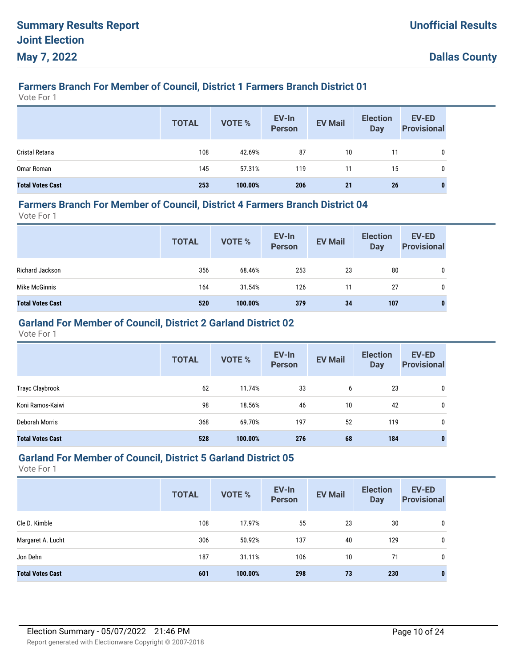# **Farmers Branch For Member of Council, District 1 Farmers Branch District 01**

Vote For 1

|                         | <b>TOTAL</b> | VOTE %  | EV-In<br>Person | <b>EV Mail</b> | <b>Election</b><br>Day | EV-ED<br><b>Provisional</b> |
|-------------------------|--------------|---------|-----------------|----------------|------------------------|-----------------------------|
| Cristal Retana          | 108          | 42.69%  | 87              | 10             | 11                     |                             |
| Omar Roman              | 145          | 57.31%  | 119             | 11             | 15                     |                             |
| <b>Total Votes Cast</b> | 253          | 100.00% | 206             | 21             | 26                     |                             |

#### **Farmers Branch For Member of Council, District 4 Farmers Branch District 04**

Vote For 1

|                         | <b>TOTAL</b> | VOTE %  | EV-In<br>Person | <b>EV Mail</b> | <b>Election</b><br><b>Day</b> | <b>EV-ED</b><br><b>Provisional</b> |
|-------------------------|--------------|---------|-----------------|----------------|-------------------------------|------------------------------------|
| Richard Jackson         | 356          | 68.46%  | 253             | 23             | 80                            | 0                                  |
| Mike McGinnis           | 164          | 31.54%  | 126             | 11             | 27                            | 0                                  |
| <b>Total Votes Cast</b> | 520          | 100.00% | 379             | 34             | 107                           | 0                                  |

## **Garland For Member of Council, District 2 Garland District 02**

Vote For 1

|                         | <b>TOTAL</b> | <b>VOTE %</b> | EV-In<br><b>Person</b> | <b>EV Mail</b> | <b>Election</b><br>Day | <b>EV-ED</b><br><b>Provisional</b> |
|-------------------------|--------------|---------------|------------------------|----------------|------------------------|------------------------------------|
| Trayc Claybrook         | 62           | 11.74%        | 33                     | 6              | 23                     | 0                                  |
| Koni Ramos-Kaiwi        | 98           | 18.56%        | 46                     | 10             | 42                     | 0                                  |
| Deborah Morris          | 368          | 69.70%        | 197                    | 52             | 119                    | 0                                  |
| <b>Total Votes Cast</b> | 528          | 100.00%       | 276                    | 68             | 184                    | $\bf{0}$                           |

#### **Garland For Member of Council, District 5 Garland District 05**

|                         | <b>TOTAL</b> | <b>VOTE %</b> | EV-In<br><b>Person</b> | <b>EV Mail</b> | <b>Election</b><br><b>Day</b> | <b>EV-ED</b><br><b>Provisional</b> |
|-------------------------|--------------|---------------|------------------------|----------------|-------------------------------|------------------------------------|
| Cle D. Kimble           | 108          | 17.97%        | 55                     | 23             | 30                            | 0                                  |
| Margaret A. Lucht       | 306          | 50.92%        | 137                    | 40             | 129                           | 0                                  |
| Jon Dehn                | 187          | 31.11%        | 106                    | 10             | 71                            | 0                                  |
| <b>Total Votes Cast</b> | 601          | 100.00%       | 298                    | 73             | 230                           | $\bf{0}$                           |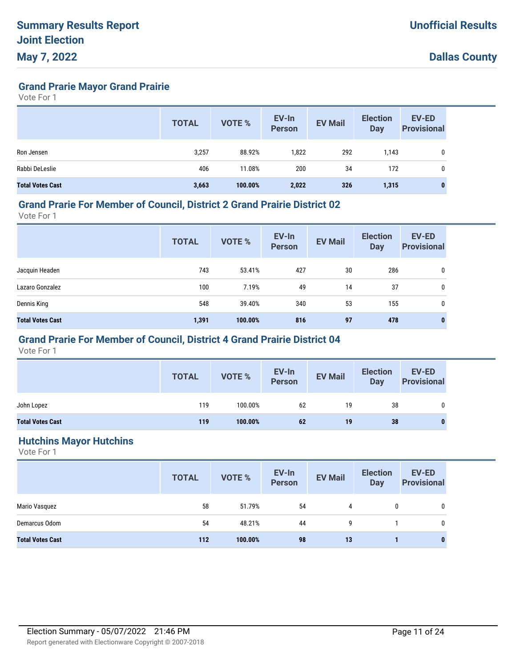**Grand Prarie Mayor Grand Prairie**

Vote For 1

|                         | <b>TOTAL</b> | <b>VOTE %</b> | EV-In<br><b>Person</b> | <b>EV Mail</b> | <b>Election</b><br>Day | <b>EV-ED</b><br><b>Provisional</b> |
|-------------------------|--------------|---------------|------------------------|----------------|------------------------|------------------------------------|
| Ron Jensen              | 3,257        | 88.92%        | 1,822                  | 292            | 1,143                  | 0                                  |
| Rabbi DeLeslie          | 406          | 11.08%        | 200                    | 34             | 172                    | 0                                  |
| <b>Total Votes Cast</b> | 3,663        | 100.00%       | 2,022                  | 326            | 1,315                  | 0                                  |

#### **Grand Prarie For Member of Council, District 2 Grand Prairie District 02**

Vote For 1

|                         | <b>TOTAL</b> | <b>VOTE %</b> | EV-In<br><b>Person</b> | <b>EV Mail</b> | <b>Election</b><br><b>Day</b> | <b>EV-ED</b><br><b>Provisional</b> |
|-------------------------|--------------|---------------|------------------------|----------------|-------------------------------|------------------------------------|
| Jacquin Headen          | 743          | 53.41%        | 427                    | 30             | 286                           | 0                                  |
| Lazaro Gonzalez         | 100          | 7.19%         | 49                     | 14             | 37                            | $\mathbf 0$                        |
| Dennis King             | 548          | 39.40%        | 340                    | 53             | 155                           | $\mathbf 0$                        |
| <b>Total Votes Cast</b> | 1,391        | 100.00%       | 816                    | 97             | 478                           | 0                                  |

## **Grand Prarie For Member of Council, District 4 Grand Prairie District 04**

Vote For 1

|                         | <b>TOTAL</b> | <b>VOTE %</b> | EV-In<br>Person | <b>EV Mail</b> | <b>Election</b><br>Day | <b>EV-ED</b><br><b>Provisional</b> |
|-------------------------|--------------|---------------|-----------------|----------------|------------------------|------------------------------------|
| John Lopez              | 119          | 100.00%       | 62              | 19             | 38                     |                                    |
| <b>Total Votes Cast</b> | 119          | 100.00%       | 62              | 19             | 38                     |                                    |

#### **Hutchins Mayor Hutchins**

|                         | <b>TOTAL</b> | VOTE %  | EV-In<br>Person | <b>EV Mail</b> | <b>Election</b><br><b>Day</b> | <b>EV-ED</b><br><b>Provisional</b> |
|-------------------------|--------------|---------|-----------------|----------------|-------------------------------|------------------------------------|
| Mario Vasquez           | 58           | 51.79%  | 54              | 4              | 0                             | $\mathbf 0$                        |
| Demarcus Odom           | 54           | 48.21%  | 44              | 9              |                               | 0                                  |
| <b>Total Votes Cast</b> | 112          | 100.00% | 98              | 13             |                               | 0                                  |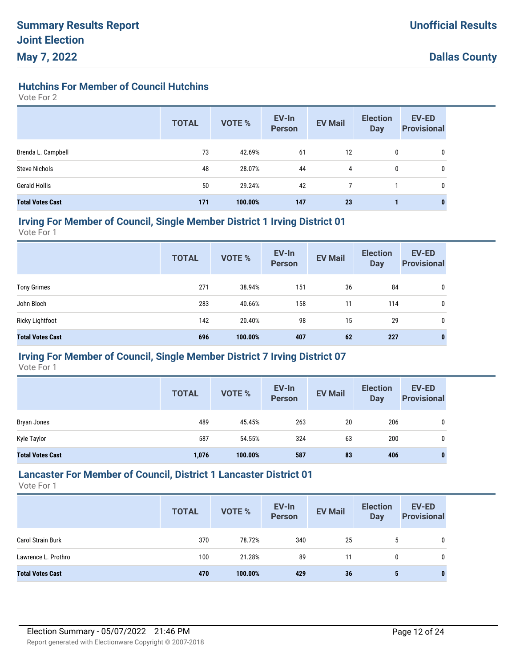## **Hutchins For Member of Council Hutchins**

Vote For 2

|                         | <b>TOTAL</b> | <b>VOTE %</b> | EV-In<br><b>Person</b> | <b>EV Mail</b> | <b>Election</b><br><b>Day</b> | EV-ED<br><b>Provisional</b> |
|-------------------------|--------------|---------------|------------------------|----------------|-------------------------------|-----------------------------|
| Brenda L. Campbell      | 73           | 42.69%        | 61                     | 12             | 0                             | 0                           |
| <b>Steve Nichols</b>    | 48           | 28.07%        | 44                     | 4              | 0                             | 0                           |
| <b>Gerald Hollis</b>    | 50           | 29.24%        | 42                     |                |                               | 0                           |
| <b>Total Votes Cast</b> | 171          | 100.00%       | 147                    | 23             |                               | $\bf{0}$                    |

#### **Irving For Member of Council, Single Member District 1 Irving District 01**

Vote For 1

|                         | <b>TOTAL</b> | VOTE %  | EV-In<br><b>Person</b> | <b>EV Mail</b> | <b>Election</b><br><b>Day</b> | <b>EV-ED</b><br><b>Provisional</b> |
|-------------------------|--------------|---------|------------------------|----------------|-------------------------------|------------------------------------|
| <b>Tony Grimes</b>      | 271          | 38.94%  | 151                    | 36             | 84                            | 0                                  |
| John Bloch              | 283          | 40.66%  | 158                    | 11             | 114                           | 0                                  |
| <b>Ricky Lightfoot</b>  | 142          | 20.40%  | 98                     | 15             | 29                            | 0                                  |
| <b>Total Votes Cast</b> | 696          | 100.00% | 407                    | 62             | 227                           | 0                                  |

## **Irving For Member of Council, Single Member District 7 Irving District 07**

Vote For 1

|                         | <b>TOTAL</b> | <b>VOTE %</b> | EV-In<br><b>Person</b> | <b>EV Mail</b> | <b>Election</b><br>Day | <b>EV-ED</b><br><b>Provisional</b> |
|-------------------------|--------------|---------------|------------------------|----------------|------------------------|------------------------------------|
| Bryan Jones             | 489          | 45.45%        | 263                    | 20             | 206                    | 0                                  |
| Kyle Taylor             | 587          | 54.55%        | 324                    | 63             | 200                    | 0                                  |
| <b>Total Votes Cast</b> | 1,076        | 100.00%       | 587                    | 83             | 406                    | $\bf{0}$                           |

## **Lancaster For Member of Council, District 1 Lancaster District 01**

|                          | <b>TOTAL</b> | <b>VOTE %</b> | EV-In<br>Person | <b>EV Mail</b> | <b>Election</b><br><b>Day</b> | <b>EV-ED</b><br><b>Provisional</b> |
|--------------------------|--------------|---------------|-----------------|----------------|-------------------------------|------------------------------------|
| <b>Carol Strain Burk</b> | 370          | 78.72%        | 340             | 25             | 5                             |                                    |
| Lawrence L. Prothro      | 100          | 21.28%        | 89              | 11             | 0                             |                                    |
| <b>Total Votes Cast</b>  | 470          | 100.00%       | 429             | 36             | 5                             | 0                                  |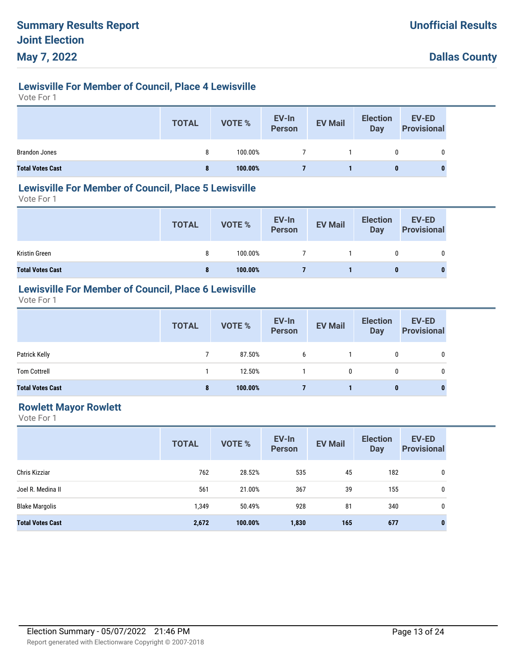# **Lewisville For Member of Council, Place 4 Lewisville**

Vote For 1

|                         | <b>TOTAL</b> | <b>VOTE %</b> | EV-In<br>Person | <b>EV Mail</b> | <b>Election</b><br>Day | <b>EV-ED</b><br><b>Provisional</b> |
|-------------------------|--------------|---------------|-----------------|----------------|------------------------|------------------------------------|
| <b>Brandon Jones</b>    | 8            | 100.00%       |                 |                |                        | 0                                  |
| <b>Total Votes Cast</b> | 8            | 100.00%       |                 |                | $\bf{0}$               |                                    |

#### **Lewisville For Member of Council, Place 5 Lewisville**

Vote For 1

|                         | <b>TOTAL</b> | VOTE %  | EV-In<br>Person | <b>EV Mail</b> | <b>Election</b><br>Day | EV-ED<br><b>Provisional</b> |
|-------------------------|--------------|---------|-----------------|----------------|------------------------|-----------------------------|
| Kristin Green           | 8            | 100.00% |                 |                | 0                      | 0                           |
| <b>Total Votes Cast</b> | 8            | 100.00% |                 |                |                        | 0                           |

## **Lewisville For Member of Council, Place 6 Lewisville**

Vote For 1

|                         | <b>TOTAL</b> | VOTE %  | EV-In<br>Person | <b>EV Mail</b> | <b>Election</b><br><b>Day</b> | <b>EV-ED</b><br><b>Provisional</b> |
|-------------------------|--------------|---------|-----------------|----------------|-------------------------------|------------------------------------|
| Patrick Kelly           |              | 87.50%  | 6               |                | 0                             | 0                                  |
| <b>Tom Cottrell</b>     |              | 12.50%  |                 | 0              |                               |                                    |
| <b>Total Votes Cast</b> | 8            | 100.00% |                 |                | 0                             | $\bf{0}$                           |

## **Rowlett Mayor Rowlett**

|                         | <b>TOTAL</b> | <b>VOTE %</b> | EV-In<br><b>Person</b> | <b>EV Mail</b> | <b>Election</b><br><b>Day</b> | <b>EV-ED</b><br><b>Provisional</b> |
|-------------------------|--------------|---------------|------------------------|----------------|-------------------------------|------------------------------------|
| Chris Kizziar           | 762          | 28.52%        | 535                    | 45             | 182                           | 0                                  |
| Joel R. Medina II       | 561          | 21.00%        | 367                    | 39             | 155                           | 0                                  |
| <b>Blake Margolis</b>   | 1,349        | 50.49%        | 928                    | 81             | 340                           | $\mathbf{0}$                       |
| <b>Total Votes Cast</b> | 2,672        | 100.00%       | 1,830                  | 165            | 677                           | $\bf{0}$                           |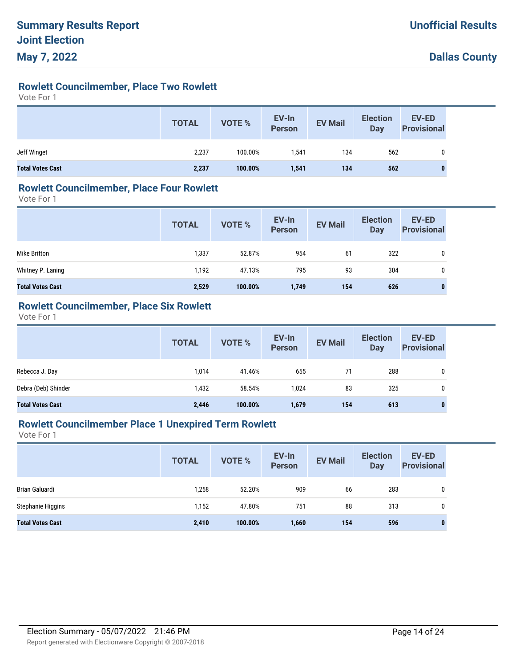# **Rowlett Councilmember, Place Two Rowlett**

Vote For 1

|                         | <b>TOTAL</b> | VOTE %  | EV-In<br>Person | <b>EV Mail</b> | <b>Election</b><br>Day | <b>EV-ED</b><br><b>Provisional</b> |
|-------------------------|--------------|---------|-----------------|----------------|------------------------|------------------------------------|
| Jeff Winget             | 2,237        | 100.00% | 1.541           | 134            | 562                    | $\mathbf{0}$                       |
| <b>Total Votes Cast</b> | 2,237        | 100.00% | 1,541           | 134            | 562                    | $\bf{0}$                           |

#### **Rowlett Councilmember, Place Four Rowlett**

Vote For 1

|                         | <b>TOTAL</b> | <b>VOTE %</b> | EV-In<br>Person | <b>EV Mail</b> | <b>Election</b><br>Day | <b>EV-ED</b><br><b>Provisional</b> |
|-------------------------|--------------|---------------|-----------------|----------------|------------------------|------------------------------------|
| Mike Britton            | 1,337        | 52.87%        | 954             | 61             | 322                    | 0                                  |
| Whitney P. Laning       | 1.192        | 47.13%        | 795             | 93             | 304                    | 0                                  |
| <b>Total Votes Cast</b> | 2,529        | 100.00%       | 1,749           | 154            | 626                    | $\bf{0}$                           |

## **Rowlett Councilmember, Place Six Rowlett**

Vote For 1

|                         | <b>TOTAL</b> | VOTE %  | EV-In<br>Person | <b>EV Mail</b> | <b>Election</b><br>Day | <b>EV-ED</b><br><b>Provisional</b> |
|-------------------------|--------------|---------|-----------------|----------------|------------------------|------------------------------------|
| Rebecca J. Day          | 1,014        | 41.46%  | 655             | 71             | 288                    | 0                                  |
| Debra (Deb) Shinder     | 1,432        | 58.54%  | 1.024           | 83             | 325                    | 0                                  |
| <b>Total Votes Cast</b> | 2,446        | 100.00% | 1,679           | 154            | 613                    | $\mathbf{0}$                       |

#### **Rowlett Councilmember Place 1 Unexpired Term Rowlett**

|                         | <b>TOTAL</b> | <b>VOTE %</b> | EV-In<br><b>Person</b> | <b>EV Mail</b> | <b>Election</b><br><b>Day</b> | <b>EV-ED</b><br><b>Provisional</b> |
|-------------------------|--------------|---------------|------------------------|----------------|-------------------------------|------------------------------------|
| Brian Galuardi          | 1,258        | 52.20%        | 909                    | 66             | 283                           | 0                                  |
| Stephanie Higgins       | 1,152        | 47.80%        | 751                    | 88             | 313                           | 0                                  |
| <b>Total Votes Cast</b> | 2,410        | 100.00%       | 1,660                  | 154            | 596                           | $\bf{0}$                           |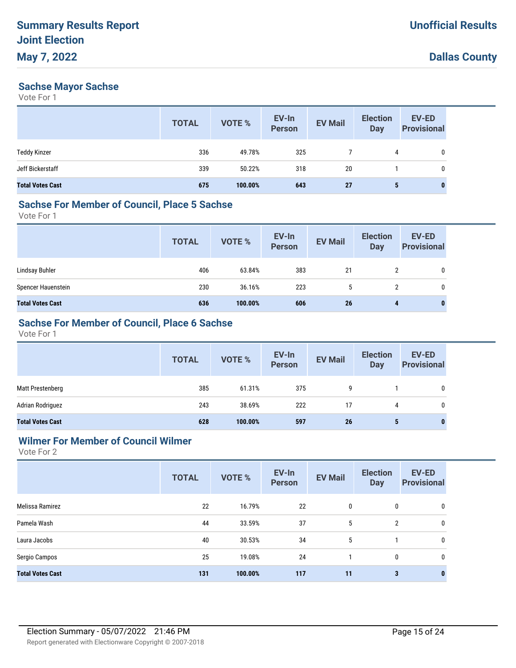#### **Sachse Mayor Sachse**

Vote For 1

|                         | <b>TOTAL</b> | VOTE %  | EV-In<br><b>Person</b> | <b>EV Mail</b> | <b>Election</b><br><b>Day</b> | <b>EV-ED</b><br><b>Provisional</b> |
|-------------------------|--------------|---------|------------------------|----------------|-------------------------------|------------------------------------|
| <b>Teddy Kinzer</b>     | 336          | 49.78%  | 325                    |                | 4                             | 0                                  |
| Jeff Bickerstaff        | 339          | 50.22%  | 318                    | 20             |                               | 0                                  |
| <b>Total Votes Cast</b> | 675          | 100.00% | 643                    | 27             | 5                             |                                    |

# **Sachse For Member of Council, Place 5 Sachse**

Vote For 1

|                         | <b>TOTAL</b> | VOTE %  | EV-In<br>Person | <b>EV Mail</b> | <b>Election</b><br><b>Day</b> | <b>EV-ED</b><br><b>Provisional</b> |
|-------------------------|--------------|---------|-----------------|----------------|-------------------------------|------------------------------------|
| Lindsay Buhler          | 406          | 63.84%  | 383             | 21             | 2                             | 0                                  |
| Spencer Hauenstein      | 230          | 36.16%  | 223             | $\mathbf b$    | 2                             | 0                                  |
| <b>Total Votes Cast</b> | 636          | 100.00% | 606             | 26             | 4                             | 0                                  |

## **Sachse For Member of Council, Place 6 Sachse**

Vote For 1

|                         | <b>TOTAL</b> | <b>VOTE %</b> | EV-In<br>Person | <b>EV Mail</b> | <b>Election</b><br>Day | <b>EV-ED</b><br><b>Provisional</b> |
|-------------------------|--------------|---------------|-----------------|----------------|------------------------|------------------------------------|
| Matt Prestenberg        | 385          | 61.31%        | 375             | 9              |                        | 0                                  |
| Adrian Rodriguez        | 243          | 38.69%        | 222             | 17             | 4                      | 0                                  |
| <b>Total Votes Cast</b> | 628          | 100.00%       | 597             | 26             | 5                      |                                    |

## **Wilmer For Member of Council Wilmer**

| <b>TOTAL</b> | <b>VOTE %</b> | EV-In<br><b>Person</b> | <b>EV Mail</b> | <b>Election</b><br><b>Day</b> | EV-ED<br><b>Provisional</b> |
|--------------|---------------|------------------------|----------------|-------------------------------|-----------------------------|
| 22           | 16.79%        | 22                     | 0              | 0                             | 0                           |
| 44           | 33.59%        | 37                     | 5              | $\overline{2}$                | 0                           |
| 40           | 30.53%        | 34                     | 5              |                               | 0                           |
| 25           | 19.08%        | 24                     |                | 0                             | 0                           |
| 131          | 100.00%       | 117                    | 11             | $\mathbf{3}$                  | $\mathbf 0$                 |
|              |               |                        |                |                               |                             |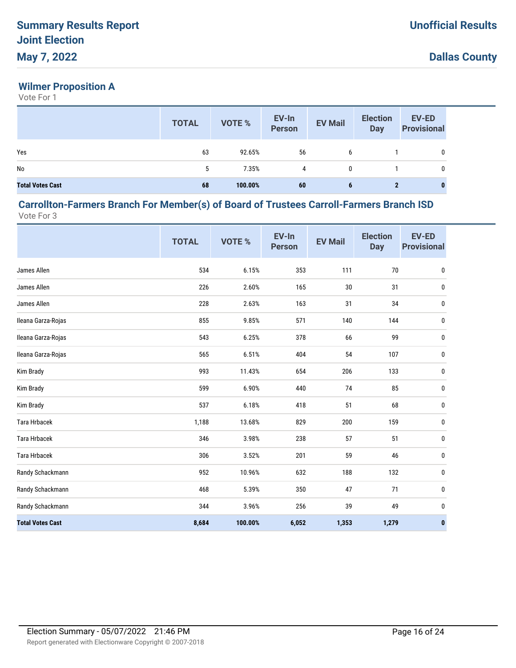## **Wilmer Proposition A**

Vote For 1

|                         | <b>TOTAL</b> | <b>VOTE %</b> | EV-In<br>Person | <b>EV Mail</b> | <b>Election</b><br><b>Day</b> | <b>EV-ED</b><br><b>Provisional</b> |
|-------------------------|--------------|---------------|-----------------|----------------|-------------------------------|------------------------------------|
| Yes                     | 63           | 92.65%        | 56              | 6              |                               | 0                                  |
| No                      | 5            | 7.35%         | 4               | $\mathbf{0}$   |                               | $\mathbf{0}$                       |
| <b>Total Votes Cast</b> | 68           | 100.00%       | 60              | 6              | 2                             | $\bf{0}$                           |

#### **Carrollton-Farmers Branch For Member(s) of Board of Trustees Carroll-Farmers Branch ISD** Vote For 3

|                         | <b>TOTAL</b> | VOTE %  | EV-In<br><b>Person</b> | <b>EV Mail</b> | <b>Election</b><br><b>Day</b> | <b>EV-ED</b><br><b>Provisional</b> |
|-------------------------|--------------|---------|------------------------|----------------|-------------------------------|------------------------------------|
| James Allen             | 534          | 6.15%   | 353                    | 111            | $70\,$                        | $\pmb{0}$                          |
| James Allen             | 226          | 2.60%   | 165                    | 30             | 31                            | $\mathbf 0$                        |
| James Allen             | 228          | 2.63%   | 163                    | 31             | 34                            | $\boldsymbol{0}$                   |
| Ileana Garza-Rojas      | 855          | 9.85%   | 571                    | 140            | 144                           | 0                                  |
| Ileana Garza-Rojas      | 543          | 6.25%   | 378                    | 66             | 99                            | 0                                  |
| Ileana Garza-Rojas      | 565          | 6.51%   | 404                    | 54             | 107                           | $\bf{0}$                           |
| Kim Brady               | 993          | 11.43%  | 654                    | 206            | 133                           | $\pmb{0}$                          |
| Kim Brady               | 599          | 6.90%   | 440                    | 74             | 85                            | $\bf{0}$                           |
| Kim Brady               | 537          | 6.18%   | 418                    | 51             | 68                            | $\bf{0}$                           |
| <b>Tara Hrbacek</b>     | 1,188        | 13.68%  | 829                    | 200            | 159                           | 0                                  |
| <b>Tara Hrbacek</b>     | 346          | 3.98%   | 238                    | 57             | 51                            | 0                                  |
| <b>Tara Hrbacek</b>     | 306          | 3.52%   | 201                    | 59             | 46                            | $\bf{0}$                           |
| Randy Schackmann        | 952          | 10.96%  | 632                    | 188            | 132                           | 0                                  |
| Randy Schackmann        | 468          | 5.39%   | 350                    | 47             | 71                            | $\bf{0}$                           |
| Randy Schackmann        | 344          | 3.96%   | 256                    | 39             | 49                            | 0                                  |
| <b>Total Votes Cast</b> | 8,684        | 100.00% | 6,052                  | 1,353          | 1,279                         | $\bf{0}$                           |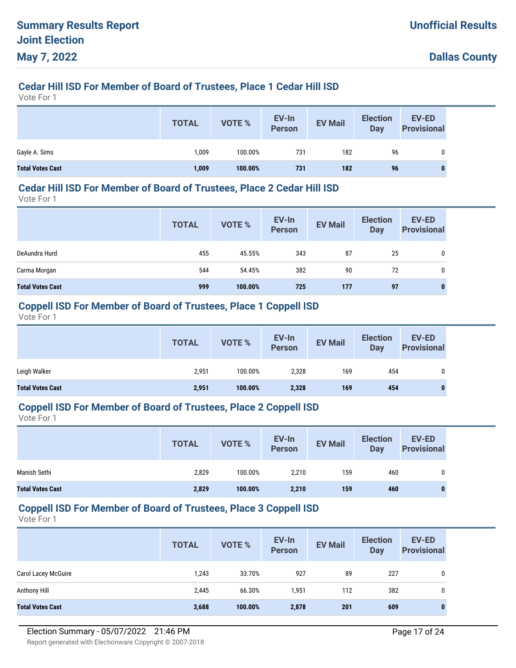# **Cedar Hill ISD For Member of Board of Trustees, Place 1 Cedar Hill ISD**

Vote For 1

|                         | <b>TOTAL</b> | <b>VOTE %</b> | EV-In<br>Person | <b>EV Mail</b> | <b>Election</b><br>Day | <b>EV-ED</b><br><b>Provisional</b> |
|-------------------------|--------------|---------------|-----------------|----------------|------------------------|------------------------------------|
| Gayle A. Sims           | 1,009        | 100.00%       | 731             | 182            | 96                     | 0                                  |
| <b>Total Votes Cast</b> | 1,009        | 100.00%       | 731             | 182            | 96                     |                                    |

#### **Cedar Hill ISD For Member of Board of Trustees, Place 2 Cedar Hill ISD**

Vote For 1

|                         | <b>TOTAL</b> | <b>VOTE %</b> | EV-In<br><b>Person</b> | <b>EV Mail</b> | <b>Election</b><br><b>Day</b> | <b>EV-ED</b><br><b>Provisional</b> |
|-------------------------|--------------|---------------|------------------------|----------------|-------------------------------|------------------------------------|
| DeAundra Hurd           | 455          | 45.55%        | 343                    | 87             | 25                            | 0                                  |
| Carma Morgan            | 544          | 54.45%        | 382                    | 90             | 72                            | 0                                  |
| <b>Total Votes Cast</b> | 999          | 100.00%       | 725                    | 177            | 97                            | 0                                  |

#### **Coppell ISD For Member of Board of Trustees, Place 1 Coppell ISD**

Vote For 1

|                         | <b>TOTAL</b> | <b>VOTE %</b> | EV-In<br><b>Person</b> | <b>EV Mail</b> | <b>Election</b><br>Day | <b>EV-ED</b><br><b>Provisional</b> |
|-------------------------|--------------|---------------|------------------------|----------------|------------------------|------------------------------------|
| Leigh Walker            | 2,951        | 100.00%       | 2,328                  | 169            | 454                    | 0                                  |
| <b>Total Votes Cast</b> | 2,951        | 100.00%       | 2,328                  | 169            | 454                    | 0                                  |

#### **Coppell ISD For Member of Board of Trustees, Place 2 Coppell ISD**

Vote For 1

|                         | <b>TOTAL</b> | <b>VOTE %</b> | EV-In<br><b>Person</b> | <b>EV Mail</b> | <b>Election</b><br>Day | EV-ED<br><b>Provisional</b> |
|-------------------------|--------------|---------------|------------------------|----------------|------------------------|-----------------------------|
| Manish Sethi            | 2,829        | 100.00%       | 2,210                  | 159            | 460                    |                             |
| <b>Total Votes Cast</b> | 2,829        | 100.00%       | 2,210                  | 159            | 460                    |                             |

#### **Coppell ISD For Member of Board of Trustees, Place 3 Coppell ISD**

|                            | <b>TOTAL</b> | <b>VOTE %</b> | EV-In<br><b>Person</b> | <b>EV Mail</b> | <b>Election</b><br>Day | EV-ED<br><b>Provisional</b> |
|----------------------------|--------------|---------------|------------------------|----------------|------------------------|-----------------------------|
| <b>Carol Lacey McGuire</b> | 1,243        | 33.70%        | 927                    | 89             | 227                    | 0                           |
| Anthony Hill               | 2,445        | 66.30%        | 1,951                  | 112            | 382                    | 0                           |
| <b>Total Votes Cast</b>    | 3,688        | 100.00%       | 2,878                  | 201            | 609                    | $\bf{0}$                    |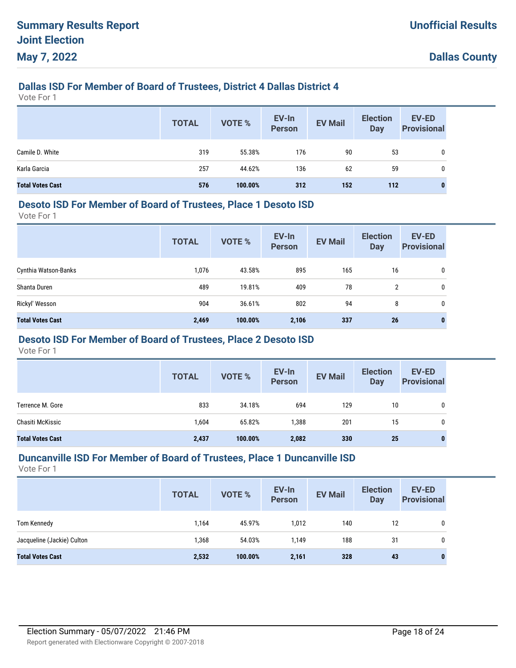# **Dallas ISD For Member of Board of Trustees, District 4 Dallas District 4**

Vote For 1

|                         | <b>TOTAL</b> | VOTE %  | EV-In<br>Person | <b>EV Mail</b> | <b>Election</b><br><b>Day</b> | EV-ED<br><b>Provisional</b> |
|-------------------------|--------------|---------|-----------------|----------------|-------------------------------|-----------------------------|
| Camile D. White         | 319          | 55.38%  | 176             | 90             | 53                            |                             |
| Karla Garcia            | 257          | 44.62%  | 136             | 62             | 59                            |                             |
| <b>Total Votes Cast</b> | 576          | 100.00% | 312             | 152            | 112                           |                             |

#### **Desoto ISD For Member of Board of Trustees, Place 1 Desoto ISD**

Vote For 1

|                         | <b>TOTAL</b> | <b>VOTE %</b> | EV-In<br><b>Person</b> | <b>EV Mail</b> | <b>Election</b><br><b>Day</b> | <b>EV-ED</b><br><b>Provisional</b> |
|-------------------------|--------------|---------------|------------------------|----------------|-------------------------------|------------------------------------|
| Cynthia Watson-Banks    | 1,076        | 43.58%        | 895                    | 165            | 16                            | 0                                  |
| Shanta Duren            | 489          | 19.81%        | 409                    | 78             | 2                             | 0                                  |
| Rickyl' Wesson          | 904          | 36.61%        | 802                    | 94             | 8                             | 0                                  |
| <b>Total Votes Cast</b> | 2,469        | 100.00%       | 2,106                  | 337            | 26                            | 0                                  |

## **Desoto ISD For Member of Board of Trustees, Place 2 Desoto ISD**

Vote For 1

|                         | <b>TOTAL</b> | <b>VOTE %</b> | EV-In<br><b>Person</b> | <b>EV Mail</b> | <b>Election</b><br><b>Day</b> | <b>EV-ED</b><br><b>Provisional</b> |
|-------------------------|--------------|---------------|------------------------|----------------|-------------------------------|------------------------------------|
| Terrence M. Gore        | 833          | 34.18%        | 694                    | 129            | 10                            | 0                                  |
| Chasiti McKissic        | 1,604        | 65.82%        | 1,388                  | 201            | 15                            | 0                                  |
| <b>Total Votes Cast</b> | 2,437        | 100.00%       | 2,082                  | 330            | 25                            | 0                                  |

#### **Duncanville ISD For Member of Board of Trustees, Place 1 Duncanville ISD**

|                            | <b>TOTAL</b> | VOTE %  | EV-In<br>Person | <b>EV Mail</b> | <b>Election</b><br><b>Day</b> | <b>EV-ED</b><br><b>Provisional</b> |
|----------------------------|--------------|---------|-----------------|----------------|-------------------------------|------------------------------------|
| Tom Kennedy                | 1,164        | 45.97%  | 1,012           | 140            | 12                            | 0                                  |
| Jacqueline (Jackie) Culton | 1,368        | 54.03%  | 1,149           | 188            | 31                            | 0                                  |
| <b>Total Votes Cast</b>    | 2,532        | 100.00% | 2,161           | 328            | 43                            | $\bf{0}$                           |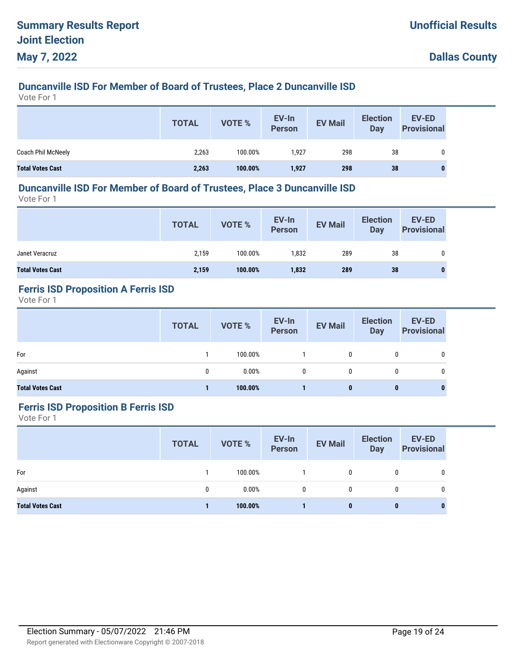# **Duncanville ISD For Member of Board of Trustees, Place 2 Duncanville ISD**

Vote For 1

|                         | <b>TOTAL</b> | VOTE %  | EV-In<br>Person | <b>EV Mail</b> | <b>Election</b><br>Day | <b>EV-ED</b><br><b>Provisional</b> |
|-------------------------|--------------|---------|-----------------|----------------|------------------------|------------------------------------|
| Coach Phil McNeely      | 2,263        | 100.00% | 1.927           | 298            | 38                     | 0                                  |
| <b>Total Votes Cast</b> | 2,263        | 100.00% | 1,927           | 298            | 38                     | $\mathbf{0}$                       |

#### **Duncanville ISD For Member of Board of Trustees, Place 3 Duncanville ISD**

Vote For 1

|                         | <b>TOTAL</b> | VOTE %  | EV-In<br>Person | <b>EV Mail</b> | <b>Election</b><br><b>Day</b> | <b>EV-ED</b><br><b>Provisional</b> |
|-------------------------|--------------|---------|-----------------|----------------|-------------------------------|------------------------------------|
| Janet Veracruz          | 2,159        | 100.00% | 1.832           | 289            | 38                            | 0                                  |
| <b>Total Votes Cast</b> | 2,159        | 100.00% | 1,832           | 289            | 38                            | 0                                  |

# **Ferris ISD Proposition A Ferris ISD**

Vote For 1

|                         | <b>TOTAL</b> | VOTE %  | EV-In<br>Person | <b>EV Mail</b> | <b>Election</b><br>Day | <b>EV-ED</b><br><b>Provisional</b> |
|-------------------------|--------------|---------|-----------------|----------------|------------------------|------------------------------------|
| For                     |              | 100.00% |                 | 0              |                        | 0                                  |
| Against                 | 0            | 0.00%   | $\mathbf{0}$    | $\mathbf{0}$   |                        |                                    |
| <b>Total Votes Cast</b> |              | 100.00% |                 | 0              | $\bf{0}$               | 0                                  |

#### **Ferris ISD Proposition B Ferris ISD**

|                         | <b>TOTAL</b> | <b>VOTE %</b> | EV-In<br>Person | <b>EV Mail</b> | <b>Election</b><br><b>Day</b> | EV-ED<br><b>Provisional</b> |
|-------------------------|--------------|---------------|-----------------|----------------|-------------------------------|-----------------------------|
| For                     |              | 100.00%       |                 | 0              | 0                             | 0                           |
| Against                 | 0            | 0.00%         | 0               | $\mathbf{0}$   | $\mathbf{0}$                  | 0                           |
| <b>Total Votes Cast</b> |              | 100.00%       |                 | 0              | $\bf{0}$                      | 0                           |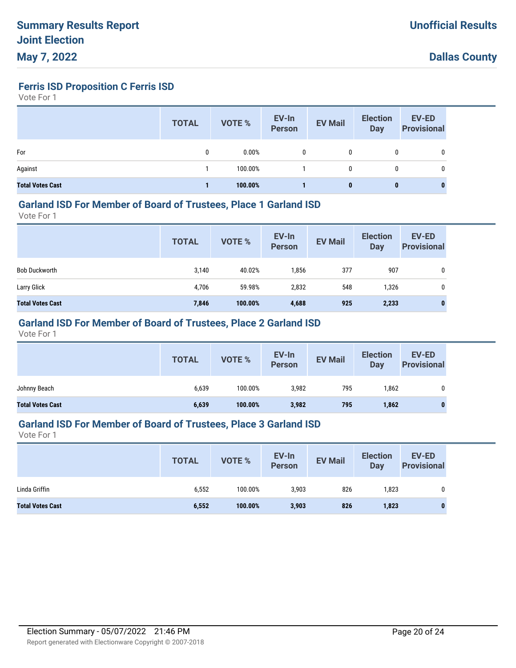**Ferris ISD Proposition C Ferris ISD**

Vote For 1

|                         | <b>TOTAL</b> | <b>VOTE %</b> | EV-In<br><b>Person</b> | <b>EV Mail</b> | <b>Election</b><br>Day | <b>EV-ED</b><br><b>Provisional</b> |
|-------------------------|--------------|---------------|------------------------|----------------|------------------------|------------------------------------|
| For                     | 0            | 0.00%         | 0                      | 0              | 0                      | 0                                  |
| Against                 |              | 100.00%       |                        | 0              | 0                      | 0                                  |
| <b>Total Votes Cast</b> |              | 100.00%       |                        | 0              | 0                      |                                    |

#### **Garland ISD For Member of Board of Trustees, Place 1 Garland ISD**

Vote For 1

|                         | <b>TOTAL</b> | VOTE %  | EV-In<br>Person | <b>EV Mail</b> | <b>Election</b><br>Day | <b>EV-ED</b><br><b>Provisional</b> |
|-------------------------|--------------|---------|-----------------|----------------|------------------------|------------------------------------|
| <b>Bob Duckworth</b>    | 3,140        | 40.02%  | 1,856           | 377            | 907                    | 0                                  |
| Larry Glick             | 4,706        | 59.98%  | 2,832           | 548            | 1,326                  | 0                                  |
| <b>Total Votes Cast</b> | 7,846        | 100.00% | 4,688           | 925            | 2,233                  | $\bf{0}$                           |

## **Garland ISD For Member of Board of Trustees, Place 2 Garland ISD**

Vote For 1

|                                                                      | EV-ED<br><b>Election</b><br><b>Provisional</b> |
|----------------------------------------------------------------------|------------------------------------------------|
| Johnny Beach<br>100.00%<br>3,982<br>6,639<br>795<br>1,862            | 0                                              |
| 6,639<br>100.00%<br>3,982<br><b>Total Votes Cast</b><br>795<br>1,862 |                                                |

#### **Garland ISD For Member of Board of Trustees, Place 3 Garland ISD**

|                         | <b>TOTAL</b> | VOTE %  | EV-In<br><b>Person</b> | <b>EV Mail</b> | <b>Election</b><br><b>Day</b> | EV-ED<br><b>Provisional</b> |
|-------------------------|--------------|---------|------------------------|----------------|-------------------------------|-----------------------------|
| Linda Griffin           | 6,552        | 100.00% | 3,903                  | 826            | 1,823                         |                             |
| <b>Total Votes Cast</b> | 6,552        | 100.00% | 3,903                  | 826            | 1,823                         |                             |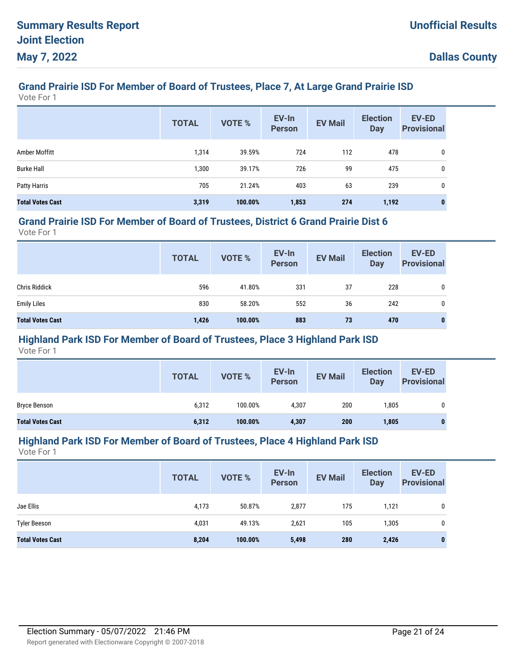# **Grand Prairie ISD For Member of Board of Trustees, Place 7, At Large Grand Prairie ISD**

Vote For 1

|                         | <b>TOTAL</b> | <b>VOTE %</b> | EV-In<br><b>Person</b> | <b>EV Mail</b> | <b>Election</b><br><b>Day</b> | <b>EV-ED</b><br><b>Provisional</b> |
|-------------------------|--------------|---------------|------------------------|----------------|-------------------------------|------------------------------------|
| Amber Moffitt           | 1,314        | 39.59%        | 724                    | 112            | 478                           | 0                                  |
| <b>Burke Hall</b>       | 1,300        | 39.17%        | 726                    | 99             | 475                           | 0                                  |
| <b>Patty Harris</b>     | 705          | 21.24%        | 403                    | 63             | 239                           | 0                                  |
| <b>Total Votes Cast</b> | 3,319        | 100.00%       | 1,853                  | 274            | 1,192                         | $\bf{0}$                           |

#### **Grand Prairie ISD For Member of Board of Trustees, District 6 Grand Prairie Dist 6**

Vote For 1

|                         | <b>TOTAL</b> | VOTE %  | EV-In<br>Person | <b>EV Mail</b> | <b>Election</b><br>Day | <b>EV-ED</b><br><b>Provisional</b> |
|-------------------------|--------------|---------|-----------------|----------------|------------------------|------------------------------------|
| <b>Chris Riddick</b>    | 596          | 41.80%  | 331             | 37             | 228                    | 0                                  |
| <b>Emily Liles</b>      | 830          | 58.20%  | 552             | 36             | 242                    | 0                                  |
| <b>Total Votes Cast</b> | 1,426        | 100.00% | 883             | 73             | 470                    | 0                                  |

## **Highland Park ISD For Member of Board of Trustees, Place 3 Highland Park ISD**

Vote For 1

|                         | <b>TOTAL</b> | VOTE %  | EV-In<br><b>Person</b> | <b>EV Mail</b> | <b>Election</b><br>Day | <b>EV-ED</b><br><b>Provisional</b> |
|-------------------------|--------------|---------|------------------------|----------------|------------------------|------------------------------------|
| Bryce Benson            | 6,312        | 100.00% | 4,307                  | 200            | 1,805                  |                                    |
| <b>Total Votes Cast</b> | 6,312        | 100.00% | 4,307                  | 200            | 1,805                  |                                    |

#### **Highland Park ISD For Member of Board of Trustees, Place 4 Highland Park ISD**

|                         | <b>TOTAL</b> | <b>VOTE %</b> | EV-In<br><b>Person</b> | <b>EV Mail</b> | <b>Election</b><br><b>Day</b> | <b>EV-ED</b><br><b>Provisional</b> |
|-------------------------|--------------|---------------|------------------------|----------------|-------------------------------|------------------------------------|
| Jae Ellis               | 4,173        | 50.87%        | 2,877                  | 175            | 1,121                         | 0                                  |
| <b>Tyler Beeson</b>     | 4,031        | 49.13%        | 2,621                  | 105            | 1,305                         | 0                                  |
| <b>Total Votes Cast</b> | 8,204        | 100.00%       | 5,498                  | 280            | 2,426                         | 0                                  |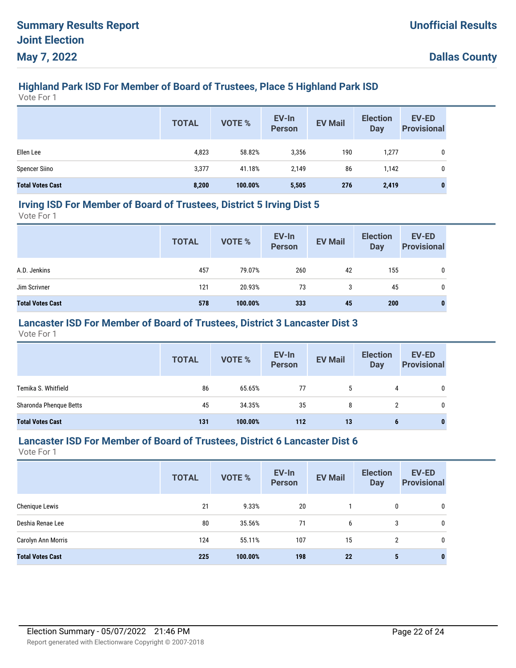# **Highland Park ISD For Member of Board of Trustees, Place 5 Highland Park ISD**

Vote For 1

|                         | <b>TOTAL</b> | VOTE %  | EV-In<br>Person | <b>EV Mail</b> | <b>Election</b><br><b>Day</b> | <b>EV-ED</b><br><b>Provisional</b> |
|-------------------------|--------------|---------|-----------------|----------------|-------------------------------|------------------------------------|
| Ellen Lee               | 4,823        | 58.82%  | 3,356           | 190            | 1,277                         | 0                                  |
| <b>Spencer Siino</b>    | 3,377        | 41.18%  | 2,149           | 86             | 1,142                         | 0                                  |
| <b>Total Votes Cast</b> | 8,200        | 100.00% | 5,505           | 276            | 2,419                         | 0                                  |

#### **Irving ISD For Member of Board of Trustees, District 5 Irving Dist 5**

Vote For 1

|                         | <b>TOTAL</b> | VOTE %  | EV-In<br>Person | <b>EV Mail</b> | <b>Election</b><br><b>Day</b> | <b>EV-ED</b><br><b>Provisional</b> |
|-------------------------|--------------|---------|-----------------|----------------|-------------------------------|------------------------------------|
| A.D. Jenkins            | 457          | 79.07%  | 260             | 42             | 155                           | 0                                  |
| Jim Scrivner            | 121          | 20.93%  | 73              | 3              | 45                            | 0                                  |
| <b>Total Votes Cast</b> | 578          | 100.00% | 333             | 45             | 200                           | 0                                  |

## **Lancaster ISD For Member of Board of Trustees, District 3 Lancaster Dist 3**

Vote For 1

|                         | <b>TOTAL</b> | <b>VOTE %</b> | EV-In<br>Person | <b>EV Mail</b> | <b>Election</b><br><b>Day</b> | <b>EV-ED</b><br><b>Provisional</b> |
|-------------------------|--------------|---------------|-----------------|----------------|-------------------------------|------------------------------------|
| Temika S. Whitfield     | 86           | 65.65%        | 77              | 5              | 4                             | 0                                  |
| Sharonda Phenque Betts  | 45           | 34.35%        | 35              | 8              |                               |                                    |
| <b>Total Votes Cast</b> | 131          | 100.00%       | 112             | 13             | 6                             | $\bf{0}$                           |

#### **Lancaster ISD For Member of Board of Trustees, District 6 Lancaster Dist 6**

|                         | <b>TOTAL</b> | <b>VOTE %</b> | EV-In<br><b>Person</b> | <b>EV Mail</b> | <b>Election</b><br><b>Day</b> | <b>EV-ED</b><br><b>Provisional</b> |
|-------------------------|--------------|---------------|------------------------|----------------|-------------------------------|------------------------------------|
| Chenique Lewis          | 21           | 9.33%         | 20                     |                | 0                             | 0                                  |
| Deshia Renae Lee        | 80           | 35.56%        | 71                     | 6              | 3                             | 0                                  |
| Carolyn Ann Morris      | 124          | 55.11%        | 107                    | 15             | $\overline{2}$                | 0                                  |
| <b>Total Votes Cast</b> | 225          | 100.00%       | 198                    | 22             | 5                             | $\bf{0}$                           |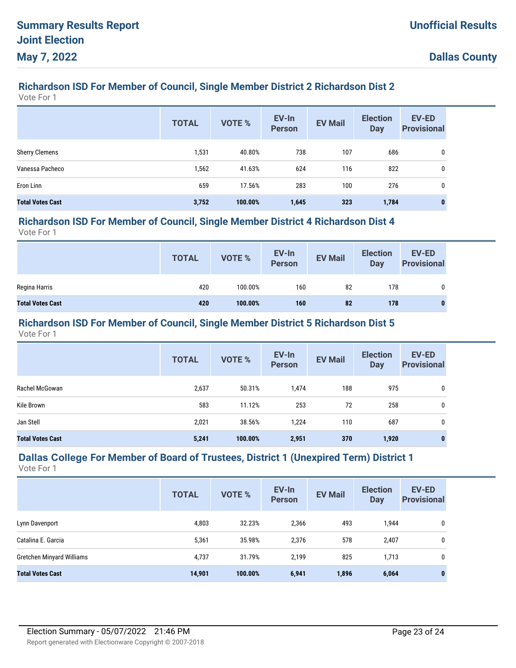## **Richardson ISD For Member of Council, Single Member District 2 Richardson Dist 2**

Vote For 1

|                         | <b>TOTAL</b> | <b>VOTE %</b> | EV-In<br><b>Person</b> | <b>EV Mail</b> | <b>Election</b><br><b>Day</b> | <b>EV-ED</b><br><b>Provisional</b> |
|-------------------------|--------------|---------------|------------------------|----------------|-------------------------------|------------------------------------|
| <b>Sherry Clemens</b>   | 1,531        | 40.80%        | 738                    | 107            | 686                           | 0                                  |
| Vanessa Pacheco         | 1,562        | 41.63%        | 624                    | 116            | 822                           | 0                                  |
| Eron Linn               | 659          | 17.56%        | 283                    | 100            | 276                           | 0                                  |
| <b>Total Votes Cast</b> | 3,752        | 100.00%       | 1,645                  | 323            | 1,784                         | 0                                  |

#### **Richardson ISD For Member of Council, Single Member District 4 Richardson Dist 4**

Vote For 1

|                         | <b>TOTAL</b> | VOTE %  | EV-In<br>Person | <b>EV Mail</b> | <b>Election</b><br>Day | EV-ED<br><b>Provisional</b> |
|-------------------------|--------------|---------|-----------------|----------------|------------------------|-----------------------------|
| Regina Harris           | 420          | 100.00% | 160             | 82             | 178                    | 0                           |
| <b>Total Votes Cast</b> | 420          | 100.00% | 160             | 82             | 178                    | 0                           |

#### **Richardson ISD For Member of Council, Single Member District 5 Richardson Dist 5**

Vote For 1

|                         | <b>TOTAL</b> | <b>VOTE %</b> | EV-In<br><b>Person</b> | <b>EV Mail</b> | <b>Election</b><br><b>Day</b> | EV-ED<br><b>Provisional</b> |
|-------------------------|--------------|---------------|------------------------|----------------|-------------------------------|-----------------------------|
| Rachel McGowan          | 2,637        | 50.31%        | 1,474                  | 188            | 975                           | 0                           |
| Kile Brown              | 583          | 11.12%        | 253                    | 72             | 258                           | 0                           |
| Jan Stell               | 2,021        | 38.56%        | 1,224                  | 110            | 687                           | 0                           |
| <b>Total Votes Cast</b> | 5,241        | 100.00%       | 2,951                  | 370            | 1,920                         | 0                           |

# **Dallas College For Member of Board of Trustees, District 1 (Unexpired Term) District 1**

|                           | <b>TOTAL</b> | <b>VOTE %</b> | EV-In<br><b>Person</b> | <b>EV Mail</b> | <b>Election</b><br><b>Day</b> | <b>EV-ED</b><br><b>Provisional</b> |
|---------------------------|--------------|---------------|------------------------|----------------|-------------------------------|------------------------------------|
| Lynn Davenport            | 4,803        | 32.23%        | 2,366                  | 493            | 1,944                         | 0                                  |
| Catalina E. Garcia        | 5,361        | 35.98%        | 2,376                  | 578            | 2,407                         | 0                                  |
| Gretchen Minyard Williams | 4,737        | 31.79%        | 2,199                  | 825            | 1,713                         | 0                                  |
| <b>Total Votes Cast</b>   | 14,901       | 100.00%       | 6,941                  | 1,896          | 6,064                         | 0                                  |